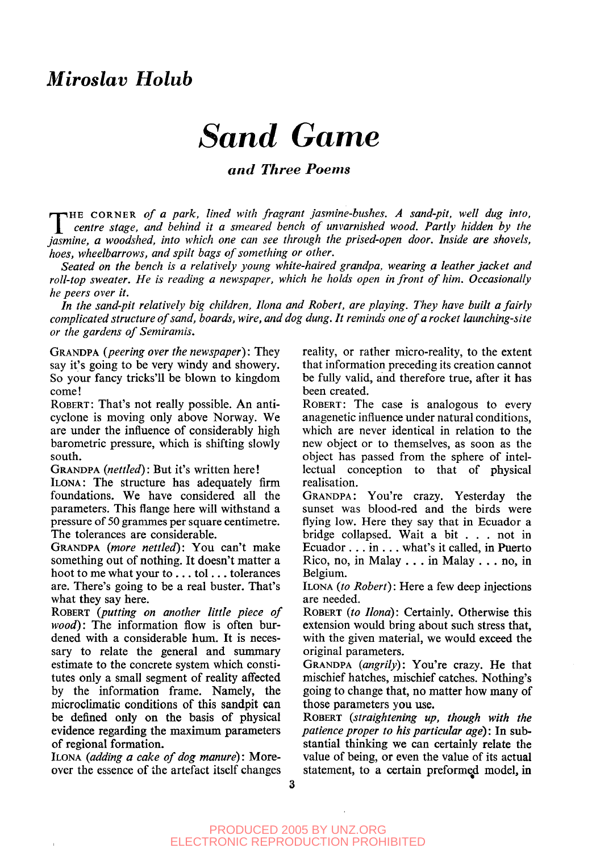# *Miroslav Holub*

# *Sand Game*

#### *and Three Poems*

THE CORNER of a park, lined with fragrant jasmine-bushes. A sand-pit, well dug into, *\\_ centre stage, and behind it a smeared bench of unvarnished wood. Partly hidden by the jasmine, a woodshed, into which one can see through the prised-open door. Inside are shovels, hoes, wheelbarrows, and spilt bags of something or other.*

*Seated on the bench is a relatively young white-haired grandpa, wearing a leather jacket and roll-top sweater. He is reading a newspaper, which he holds open in front of him. Occasionally he peers over it.*

*In the sand-pit relatively big children, Ilona and Robert, are playing. They have built a fairly complicated structure of sand, boards, wire, and dog dung. It reminds one of a rocket launching-site or the gardens of Semiramis.*

GRANDPA *(peering over the newspaper):* They say it's going to be very windy and showery. So your fancy tricks'll be blown to kingdom come!

ROBERT: That's not really possible. An anticyclone is moving only above Norway. We are under the influence of considerably high barometric pressure, which is shifting slowly south.

GRANDPA *(nettled):* But it's written here! ILONA: The structure has adequately firm foundations. We have considered all the parameters. This flange here will withstand a pressure of 50 grammes per square centimetre. The tolerances are considerable.

GRANDPA *(more nettled):* You can't make something out of nothing. It doesn't matter a hoot to me what your to .. . tol.. . tolerances are. There's going to be a real buster. That's what they say here.

ROBERT *(putting on another little piece of wood):* The information flow is often burdened with a considerable hum. It is necessary to relate the general and summary estimate to the concrete system which constitutes only a small segment of reality affected by the information frame. Namely, the microclimatic conditions of this sandpit can be defined only on the basis of physical evidence regarding the maximum parameters of regional formation.

ILONA *(adding a cake of dog manure):* Moreover the essence of the artefact itself changes reality, or rather micro-reality, to the extent that information preceding its creation cannot be fully valid, and therefore true, after it has been created.

ROBERT: The case is analogous to every anagenetic influence under natural conditions, which are never identical in relation to the new object or to themselves, as soon as the object has passed from the sphere of intellectual conception to that of physical realisation.

GRANDPA: You're crazy. Yesterday the sunset was blood-red and the birds were flying low. Here they say that in Ecuador a bridge collapsed. Wait a bit .. . not in Ecuador .. . in .. . what's it called, in Puerto Rico, no, in Malay .. . in Malay . . . no, in Belgium.

ILONA *(to Robert):* Here a few deep injections are needed.

ROBERT *(to Ilona):* Certainly. Otherwise this extension would bring about such stress that, with the given material, we would exceed the original parameters.

GRANDPA *(angrily):* You're crazy. He that mischief hatches, mischief catches. Nothing's going to change that, no matter how many of those parameters you use.

ROBERT *(straightening up, though with the patience proper to his particular age)*: In substantial thinking we can certainly relate the value of being, or even the value of its actual statement, to a certain preformed model, in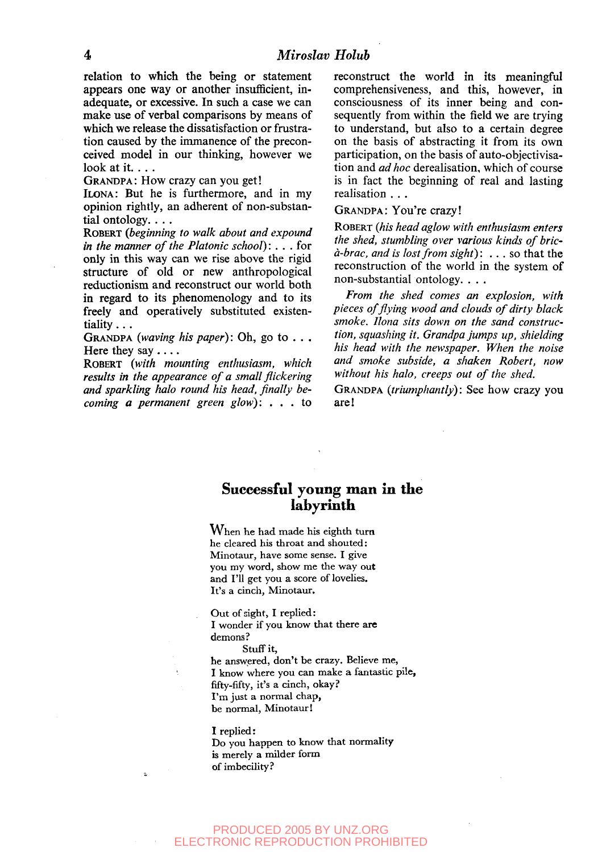#### **4** *Miroslav Holub*

relation to which the being or statement appears one way or another insufficient, inadequate, or excessive. In such a case we can make use of verbal comparisons by means of which we release the dissatisfaction or frustration caused by the immanence of the preconceived model in our thinking, however we look at it...

GRANDPA: How crazy can you get!

ILONA: But he is furthermore, and in my opinion rightly, an adherent of non-substantial ontology. . . .

ROBERT *(beginning to walk about and expound in the manner of the Platonic school): . . .* for only in this way can we rise above the rigid structure of old or new anthropological reductionism and reconstruct our world both in regard to its phenomenology and to its freely and operatively substituted existentiality...

GRANDPA *(waving his paper):* Oh, go to .. . Here they say ....

ROBERT *(with mounting enthusiasm, which results in the appearance of a small flickering and sparkling halo round his head, finally becoming a permanent green glow):* .. . to

reconstruct the world in its meaningful comprehensiveness, and this, however, in consciousness of its inner being and consequently from within the field we are trying to understand, but also to a certain degree on the basis of abstracting it from its own participation, on the basis of auto-objectivisation and *ad hoc* derealisation, which of course is in fact the beginning of real and lasting realisation . . .

#### GRANDPA: You're crazy!

ROBERT *(his head aglow with enthusiasm enters the shed, stumbling over various kinds of brica-brac, and is lost from sight)*: .. . so that the reconstruction of the world in the system of non-substantial ontology. . . .

*From the shed comes an explosion, with pieces of flying wood and clouds of dirty black smoke. Ilona sits down on the sand construction, squashing it. Grandpa jumps up, shielding his head with the newspaper. When the noise and smoke subside, a shaken Robert, now without his halo, creeps out of the shed.*

GRANDPA *(triumphantly):* See how crazy you are!

### Successful young man in the labyrinth

When he had made his eighth turn he cleared his throat and shouted: Minotaur, have some sense. I give you my word, show me the way out and **I'll** get you **a** score of lovelies. It's a cinch, Minotaur.

Out of sight, I replied: I wonder if you know that there **are** demons?

Stuff it,

he answered, don't be crazy. Believe me, I know where you can make a fantastic pile, fifty-fifty, it's a cinch, okay? I'm just a normal chap, be normal, Minotaur!

#### I replied:

Do you happen to know that normality is merely **a** milder form of imbecility?

#### PRODUCED 2005 BY UNZ.ORG ELECTRONIC REPRODUCTION PROHIBITED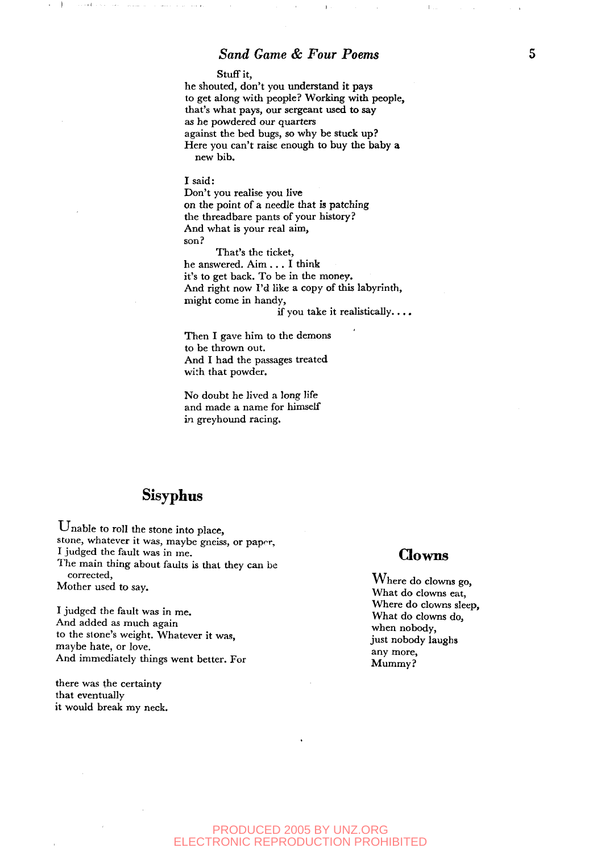Stuff it,

he shouted, don't you understand it pays to get along with people? Working with people, that's what pays, our sergeant used to say as he powdered our quarters against the bed bugs, so why be stuck up? Here you can't raise enough to buy the baby a new bib.

#### I said:

Don't you realise you live on the point of a needle that is patching the threadbare pants of your history? And what is your real aim, son?

That's the ticket, he answered. Aim .. . I think it's to get back. To be in the money. And right now I'd like a copy of this labyrinth, might come in handy,

if you take it realistically...,

Then I gave him to the demons to be thrown out. And I had the passages treated with that powder.

No doubt he lived a long life and made a name for himself in greyhound racing.

## **Sisyphus**

Unable to roll the stone into place, stone, whatever it was, maybe gneiss, or paprr, I judged the fault was in me. The main thing about faults is that they can be corrected,<br>
Where do clowns go, Mother used to say.

*1* Juagea the fault was<br>And added as much s I judged the fault was in me. And added as much again<br>to the stone's wought. Whatever, it was to the stone s weight. Whatever it was, it is not all its stone stone stone stone stone in the stone stone in t<br>may be here as less than the stone stone in the stone stone in the stone stone in the stone stone in the stone maybe hate, or love. any more, any more, And immediately things went better. For  $\frac{M_{\text{Mmmv}}}{M_{\text{Mmmv}}^2}$ 

there was the certainty that eventually it would break my neck.

### Clowns

What do clowns eat, Where do clowns sleep, What do clowns do, when nobody,

#### PRODUCED 2005 BY UNZ.ORG ELECTRONIC REPRODUCTION PROHIBITED